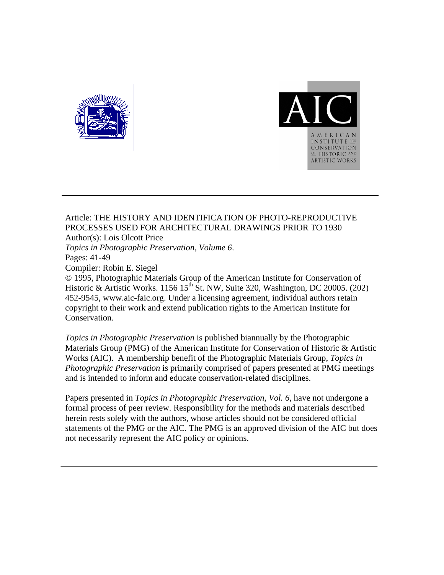



### Article: THE HISTORY AND IDENTIFICATION OF PHOTO-REPRODUCTIVE PROCESSES USED FOR ARCHITECTURAL DRAWINGS PRIOR TO 1930 Author(s): Lois Olcott Price

*Topics in Photographic Preservation, Volume 6*. Pages: 41-49 Compiler: Robin E. Siegel

© 1995, Photographic Materials Group of the American Institute for Conservation of Historic & Artistic Works. 1156 15<sup>th</sup> St. NW, Suite 320, Washington, DC 20005. (202) 452-9545, www.aic-faic.org. Under a licensing agreement, individual authors retain copyright to their work and extend publication rights to the American Institute for Conservation.

*Topics in Photographic Preservation* is published biannually by the Photographic Materials Group (PMG) of the American Institute for Conservation of Historic & Artistic Works (AIC). A membership benefit of the Photographic Materials Group, *Topics in Photographic Preservation* is primarily comprised of papers presented at PMG meetings and is intended to inform and educate conservation-related disciplines.

Papers presented in *Topics in Photographic Preservation, Vol. 6*, have not undergone a formal process of peer review. Responsibility for the methods and materials described herein rests solely with the authors, whose articles should not be considered official statements of the PMG or the AIC. The PMG is an approved division of the AIC but does not necessarily represent the AIC policy or opinions.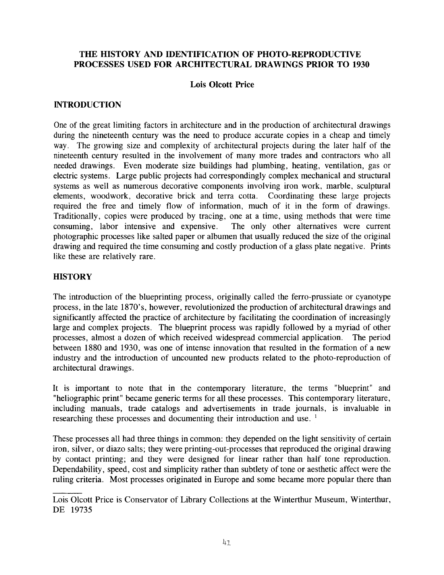### **THE HISTORY AND IDENTIFICATION OF PHOTO-REPRODUCTIVE PROCESSES USED FOR ARCHITECTURAL DRAWINGS PRIOR TO 1930**

### **Lois Olcott Price**

### **INTRODUCTION**

One of the great limiting factors in architecture and in the production of architectural drawings during the nineteenth century was the need to produce accurate copies in a cheap and timely way. The growing size and complexity of architectural projects during the later half of the nineteenth century resulted in the involvement of many more trades and contractors who all needed drawings. Even moderate size buildings had plumbing, heating, ventilation, gas or electric systems. Large public projects had correspondingly complex mechanical and structural systems as well as numerous decorative components involving iron work, marble, sculptural elements, woodwork, decorative brick and terra cotta. Coordinating these large projects required the free and timely flow of information, much of it in the form of drawings. Traditionally, copies were produced by tracing, one at a time, using methods that were time consuming, labor intensive and expensive. The only other alternatives were current photographic processes like salted paper or albumen that usually reduced the size of the original drawing and required the time consuming and costly production of a glass plate negative. Prints like these are relatively rare.

#### **HISTORY**

The introduction of the blueprinting process, originally called the ferro-prussiate or cyanotype process, in the late 1870's, however, revolutionized the production of architectural drawings and significantly affected the practice of architecture by facilitating the coordination of increasingly large and complex projects. The blueprint process was rapidly followed by a myriad of other processes, almost a dozen of which received widespread commercial application. The period between 1880 and 1930, was one of intense innovation that resulted in the formation of a new industry and the introduction of uncounted new products related to the photo-reproduction of architectural drawings.

It is important to note that in the contemporary literature, the terms "blueprint" and "heliographic print" became generic terms for all these processes. This contemporary literature, including manuals, trade catalogs and advertisements in trade journals, is invaluable in researching these processes and documenting their introduction and use.<sup>1</sup>

These processes all had three things in common: they depended on the light sensitivity of certain iron, silver, or diazo salts; they were printing-out-processes that reproduced the original drawing by contact printing; and they were designed for linear rather than half tone reproduction. Dependability, speed, cost and simplicity rather than subtlety of tone or aesthetic affect were the ruling criteria. Most processes originated in Europe and some became more popular there than

Lois Olcott Price is Conservator of Library Collections at the Winterthur Museum, Winterthur, DE 19735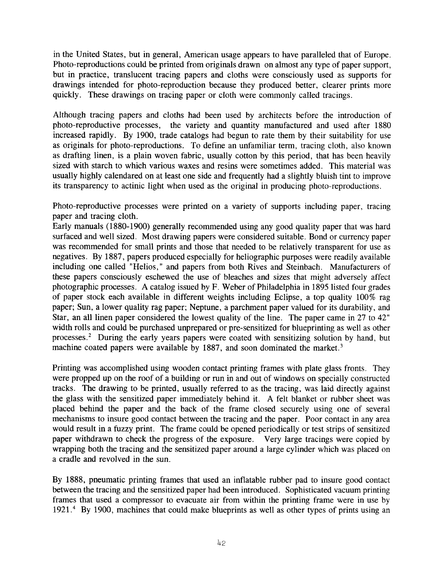in the United States, but in general, American usage appears to have paralleled that of Europe. Photo-reproductions could be printed from originals drawn on almost any type of paper support, but in practice, translucent tracing papers and cloths were consciously used as supports for drawings intended for photo-reproduction because they produced better, clearer prints more quickly. These drawings on tracing paper or cloth were commonly called tracings.

Although tracing papers and cloths had been used by architects before the introduction of photo-reproductive processes, the variety and quantity manufactured and used after 1880 increased rapidly. By 1900, trade catalogs had begun to rate them by their suitability for use as originals for photo-reproductions. To define an unfamiliar term, tracing cloth, also known as drafting linen, is a plain woven fabric, usually cotton by this period, that has been heavily sized with starch to which various waxes and resins were sometimes added. This material was usually highly calendared on at least one side and frequently had a slightly bluish tint to improve its transparency to actinic light when used as the original in producing photo-reproductions.

Photo-reproductive processes were printed on a variety of supports including paper, tracing paper and tracing cloth.

Early manuals (1880-1900) generally recommended using any good quality paper that was hard surfaced and well sized. Most drawing papers were considered suitable. Bond or currency paper was recommended for small prints and those that needed to be relatively transparent for use as negatives. By 1887 , papers produced especially for heliographic purposes were readily available including one called "Helios," and papers from both Rives and Steinbach. Manufacturers of these papers consciously eschewed the use of bleaches and sizes that might adversely affect photographic processes. A catalog issued by F. Weber of Philadelphia in 1895 listed four grades of paper stock each available in different weights including Eclipse, a top quality 100% rag paper; Sun, a lower quality rag paper; Neptune, a parchment paper valued for its durability, and Star, an all linen paper considered the lowest quality of the line. The paper came in 27 to 42" width rolls and could be purchased unprepared or pre-sensitized for blueprinting as well as other processes.2 During the early years papers were coated with sensitizing solution by hand, but machine coated papers were available by 1887, and soon dominated the market.<sup>3</sup>

Printing was accomplished using wooden contact printing frames with plate glass fronts. They were propped up on the roof of a building or run in and out of windows on specially constructed tracks. The drawing to be printed, usually referred to as the tracing, was laid directly against the glass with the sensitized paper immediately behind it. A felt blanket or rubber sheet was placed behind the paper and the back of the frame closed securely using one of several mechanisms to insure good contact between the tracing and the paper. Poor contact in any area would result in a fuzzy print. The frame could be opened periodically or test strips of sensitized paper withdrawn to check the progress of the exposure. Very large tracings were copied by wrapping both the tracing and the sensitized paper around a large cylinder which was placed on a cradle and revolved in the sun.

By 1888, pneumatic printing frames that used an inflatable rubber pad to insure good contact between the tracing and the sensitized paper had been introduced. Sophisticated vacuum printing frames that used a compressor to evacuate air from within the printing frame were in use by 1921 **.4** By 1900, machines that could make blueprints as well as other types of prints using an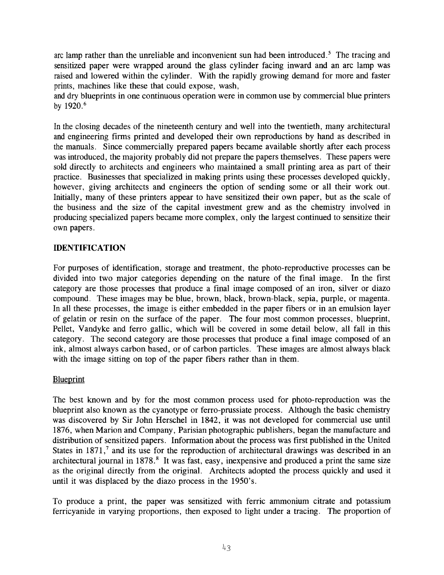arc lamp rather than the unreliable and inconvenient sun had been introduced.<sup>5</sup> The tracing and sensitized paper were wrapped around the glass cylinder facing inward and an arc lamp was raised and lowered within the cylinder. With the rapidly growing demand for more and faster prints, machines like these that could expose, wash,

and dry blueprints in one continuous operation were in common use by commercial blue printers by 1920.<sup>6</sup>

In the closing decades of the nineteenth century and well into the twentieth, many architectural and engineering firms printed and developed their own reproductions by hand as described in the manuals. Since commercially prepared papers became available shortly after each process was introduced, the majority probably did not prepare the papers themselves. These papers were sold directly to architects and engineers who maintained a small printing area as part of their practice. Businesses that specialized in making prints using these processes developed quickly, however, giving architects and engineers the option of sending some or all their work out. Initially, many of these printers appear to have sensitized their own paper, but as the scale of the business and the size of the capital investment grew and as the chemistry involved in producing specialized papers became more complex, only the largest continued to sensitize their own papers.

## **IDENTIFICATION**

For purposes of identification, storage and treatment, the photo-reproductive processes can be divided into two major categories depending on the nature of the final image. In the first category are those processes that produce a final image composed of an iron, silver or diazo compound. These images may be blue, brown, black, brown-black, sepia, purple, or magenta. In all these processes, the image is either embedded in the paper fibers or in an emulsion layer of gelatin or resin on the surface of the paper. The four most common processes, blueprint, Pellet, Vandyke and ferro gallic, which will be covered in some detail below, all fall in this category. The second category are those processes that produce a final image composed of an ink, almost always carbon based, or of carbon particles. These images are almost always black with the image sitting on top of the paper fibers rather than in them.

# **Blueprint**

The best known and by for the most common process used for photo-reproduction was the blueprint also known as the cyanotype or ferro-prussiate process. Although the basic chemistry was discovered by Sir John Herschel in 1842, it was not developed for commercial use until 1876, when Marion and Company, Parisian photographic publishers, began the manufacture and distribution of sensitized papers. Information about the process was first published in the United States in 1871,<sup>7</sup> and its use for the reproduction of architectural drawings was described in an architectural journal in 1878.<sup>8</sup> It was fast, easy, inexpensive and produced a print the same size as the original directly from the original. Architects adopted the process quickly and used it until it was displaced by the diazo process in the 1950's.

To produce a print, the paper was sensitized with ferric ammonium citrate and potassium ferricyanide in varying proportions, then exposed to light under a tracing. The proportion of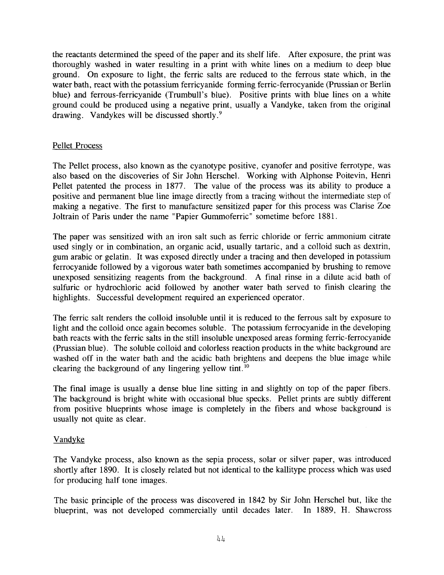the reactants determined the speed of the paper and its shelf life. After exposure, the print was thoroughly washed in water resulting in a print with white lines on a medium to deep blue ground. On exposure to light, the ferric salts are reduced to the ferrous state which, in the water bath, react with the potassium ferricyanjde forming ferric-ferrocyanide (Prussian or Berlin blue) and ferrous-ferricyanide (Trumbull's blue). Positive prints with blue lines on a white ground could be produced using a negative print, usually a Vandyke, taken from the original drawing. Vandykes will be discussed shortly.'

## Pellet Process

The Pellet process, also known as the cyanotype positive, cyanofer and positive ferrotype, was also based on the discoveries of Sir John Herschel. Working with Alphonse Poitevin, Henri Pellet patented the process in 1877. The value of the process was its ability to produce a positive and permanent blue line image directly from a tracing without the intermediate step of making a negative. The first to manufacture sensitized paper for this process was Clarise Zoe Joltrain of Paris under the name "Papier Gummoferric" sometime before 1881.

The paper was sensitized with an iron salt such as ferric chloride or ferric ammonium citrate used singly or in combination, an organic acid, usually tartaric, and a colloid such as dextrin, gum arabic or gelatin. It was exposed directly under a tracing and then developed in potassium ferrocyanide followed by a vigorous water bath sometimes accompanied by brushing to remove unexposed sensitizing reagents from the background. A final rinse in a dilute acid bath of sulfuric or hydrochloric acid followed by another water bath served to finish clearing the highlights. Successful development required an experienced operator.

The ferric salt renders the colloid insoluble until it is reduced to the ferrous salt by exposure to light and the colloid once again becomes soluble. The potassium ferrocyanide in the developing bath reacts with the ferric salts in the still insoluble unexposed areas forming ferric-ferrocyanide (Prussian blue). The soluble colloid and colorless reaction products in the white background are washed off in the water bath and the acidic bath brightens and deepens the blue image while clearing the background of any lingering yellow tint.  $^{10}$ 

The final image is usually a dense blue line sitting in and slightly on top of the paper fibers. The background is bright white with occasional blue specks. Pellet prints are subtly different from positive blueprints whose image is completely in the fibers and whose background is usually not quite as clear.

# **Vandyke**

The Vandyke process, also known as the sepia process, solar or silver paper, was introduced shortly after 1890. It is closely related but not identical to the kallitype process which was used for producing half tone images.

The basic principle of the process was discovered in 1842 by Sir John Herschel but, like the blueprint, was not developed commercially until decades later. In 1889, H. Shawcross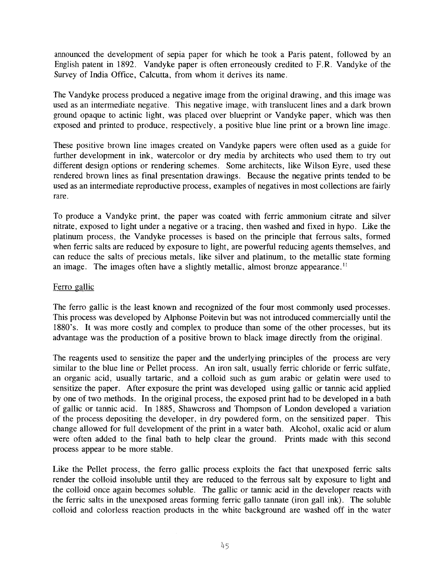announced the development of sepia paper for which he took a Paris patent, followed by an English patent in 1892. Vandyke paper is often erroneously credited to F.R. Vandyke of the Survey of India Office, Calcutta, from whom it derives its name.

The Vandyke process produced a negative image from the original drawing, and this image was used as an intermediate negative. This negative image, with translucent lines and a dark brown ground opaque to actinic light, was placed over blueprint or Vandyke paper, which was then exposed and printed to produce, respectively, a positive blue line print or a brown line image.

These positive brown line images created on Vandyke papers were often used as a guide for further development in ink, watercolor or dry media by architects who used them to try out different design options or rendering schemes. Some architects, like Wilson Eyre, used these rendered brown lines as final presentation drawings. Because the negative prints tended to be used as an intermediate reproductive process, examples of negatives in most collections are fairly rare.

To produce a Vandyke print, the paper was coated with ferric ammonium citrate and silver nitrate, exposed to light under a negative or a tracing, then washed and fixed in hypo. Like the platinum process, the Vandyke processes is based on the principle that ferrous salts, formed when ferric salts are reduced by exposure to light, are powerful reducing agents themselves, and can reduce the salts of precious metals, like silver and platinum, to the metallic state forming an image. The images often have a slightly metallic, almost bronze appearance.''

### Ferro gallic

The ferro gallic is the least known and recognized of the four most commonly used processes. This process was developed by Alphonse Poitevin but was not introduced commercially until the 1880's. It was more costly and complex to produce than some of the other processes, but its advantage was the production of a positive brown to black image directly from the original.

The reagents used to sensitize the paper and the underlying principles of the process are very similar to the blue line or Pellet process. An iron salt, usually ferric chloride or ferric sulfate, an organic acid, usually tartaric, and a colloid such as gum arabic or gelatin were used to sensitize the paper. After exposure the print was developed using gallic or tannic acid applied by one of two methods. In the original process, the exposed print had to be developed in a bath of gallic or tannic acid. In 1885, Shawcross and Thompson of London developed a variation of the process depositing the developer, in dry powdered form, on the sensitized paper. This change allowed for full development of the print in a water bath. Alcohol, oxalic acid or alum were often added to the final bath to help clear the ground. Prints made with this second process appear to be more stable.

Like the Pellet process, the ferro gallic process exploits the fact that unexposed ferric salts render the colloid insoluble until they are reduced to the ferrous salt by exposure to light and the colloid once again becomes soluble. The gallic or tannic acid in the developer reacts with the ferric salts in the unexposed areas forming ferric gallo tannate (iron gall ink). The soluble colloid and colorless reaction products in the white background are washed off in the water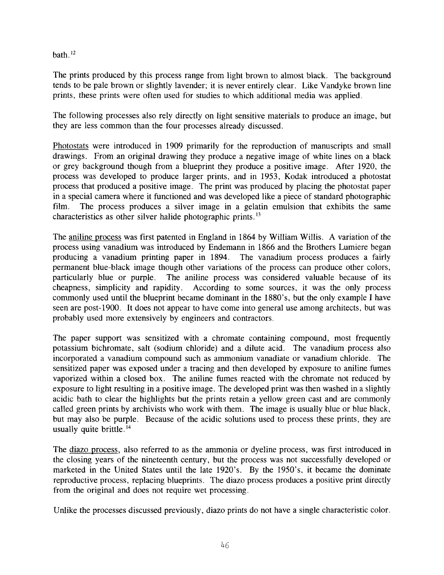bath. $12$ 

The prints produced by this process range from light brown to almost black. The background tends to be pale brown or slightly lavender; it is never entirely clear. Like Vandyke brown line prints, these prints were often used for studies to which additional media was applied.

The following processes also rely directly on light sensitive materials to produce an image, but they are less common than the four processes already discussed.

Photostats were introduced in 1909 primarily for the reproduction of manuscripts and small drawings. From an original drawing they produce a negative image of white lines on a black or grey background though from a blueprint they produce a positive image. After 1920, the process was developed to produce larger prints, and in 1953, Kodak introduced a photostat process that produced a positive image. The print was produced by placing the photostat paper in a special camera where it functioned and was developed like a piece of standard photographic film. The process produces a silver image in a gelatin emulsion that exhibits the same characteristics as other silver halide photographic prints. **l3** 

The aniline process was first patented in England in 1864 by William Willis. A variation of the process using vanadium was introduced by Endemann in 1866 and the Brothers Lumiere began producing a vanadium printing paper in 1894. The vanadium process produces a fairly permanent blue-black image though other variations of the process can produce other colors, particularly blue or purple. The aniline process was considered valuable because of its cheapness, simplicity and rapidity. According to some sources, it was the only process commonly used until the blueprint became dominant in the 1880's, but the only example I have seen are post-1900. It does not appear to have come into general use among architects, but was probably used more extensively by engineers and contractors.

The paper support was sensitized with a chromate containing compound, most frequently potassium bichromate, salt (sodium chloride) and a dilute acid. The vanadium process also incorporated a vanadium compound such as ammonium vanadiate or vanadium chloride. The sensitized paper was exposed under a tracing and then developed by exposure to aniline fumes vaporized within a closed box. The aniline fumes reacted with the chromate not reduced by exposure to light resulting in a positive image. The developed print was then washed in a slightly acidic bath to clear the highlights but the prints retain a yellow green cast and are commonly called green prints by archivists who work with them. The image is usually blue or blue black, but may also be purple. Because of the acidic solutions used to process these prints, they are usually quite brittle. **l4** 

The diazo process, also referred to as the ammonia or dyeline process, was first introduced in the closing years of the nineteenth century, but the process was not successfully developed or marketed in the United States until the late 1920's. By the 1950's, it became the dominate reproductive process, replacing blueprints. The diazo process produces a positive print directly from the original and does not require wet processing.

Unlike the processes discussed previously, diazo prints do not have a single characteristic color.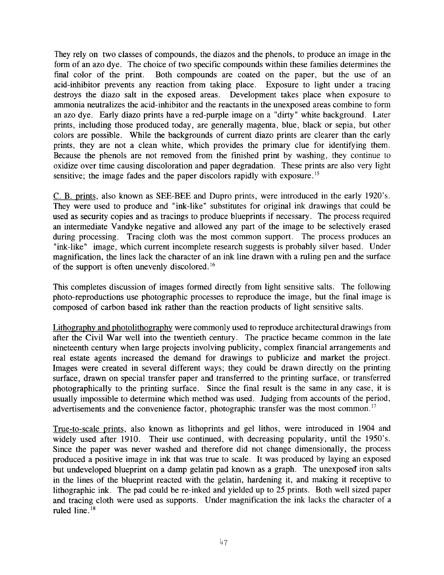They rely on two classes of compounds, the diazos and the phenols, to produce an image in the form of an azo dye. The choice of two specific compounds within these families determines the final color of the print. Both compounds are coated on the paper, but the use of an acid-inhibitor prevents any reaction from taking place. Exposure to light under a tracing destroys the diazo salt in the exposed areas. Development takes place when exposure to ammonia neutralizes the acid-inhibitor and the reactants in the unexposed areas combine to form an azo dye. Early diazo prints have a red-purple image on a "dirty" white background. Later prints, including those produced today, are generally magenta, blue, black or sepia, but other colors are possible. While the backgrounds of current diazo prints are clearer than the early prints, they are not a clean white, which provides the primary clue for identifying them. Because the phenols are not removed from the finished print by washing, they continue to oxidize over time causing discoloration and paper degradation. These prints are also very light sensitive; the image fades and the paper discolors rapidly with exposure.<sup>15</sup>

C. B. prints, also known as SEE-BEE and Dupro prints, were introduced in the early 1920's. They were used to produce and "ink-like" substitutes for original ink drawings that could be used as security copies and as tracings to produce blueprints if necessary. The process required an intermediate Vandyke negative and allowed any part of the image to be selectively erased during processing. Tracing cloth was the most common support. The process produces an "ink-like" image, which current incomplete research suggests is probably silver based. Under magnification, the lines lack the character of an ink line drawn with a ruling pen and the surface of the support is often unevenly discolored.'6

This completes discussion of images formed directly from light sensitive salts. The following photo-reproductions use photographic processes to reproduce the image, but the final image is composed of carbon based ink rather than the reaction products of light sensitive salts.

Lithography and photolithography were commonly used to reproduce architectural drawings from after the Civil War well into the twentieth century. The practice became common in the late nineteenth century when large projects involving publicity, complex financial arrangements and real estate agents increased the demand for drawings to publicize and market the project. Images were created in several different ways; they could be drawn directly on the printing surface, drawn on special transfer paper and transferred to the printing surface, or transferred photographically to the printing surface. Since the final result is the same in any case, it is usually impossible to determine which method was used. Judging from accounts of the period, advertisements and the convenience factor, photographic transfer was the most common.<sup>17</sup>

True-to-scale prints, also known as lithoprints and gel lithos, were introduced in 1904 and widely used after 1910. Their use continued, with decreasing popularity, until the 1950's. Since the paper was never washed and therefore did not change dimensionally, the process produced a positive image in ink that was true to scale. It was produced by laying an exposed but undeveloped blueprint on a damp gelatin pad known as a graph. The unexposed iron salts in the lines of the blueprint reacted with the gelatin, hardening it, and making it receptive to lithographic ink. The pad could be re-inked and yielded up to 25 prints. Both well sized paper and tracing cloth were used as supports. Under magnification the ink lacks the character of a ruled line.18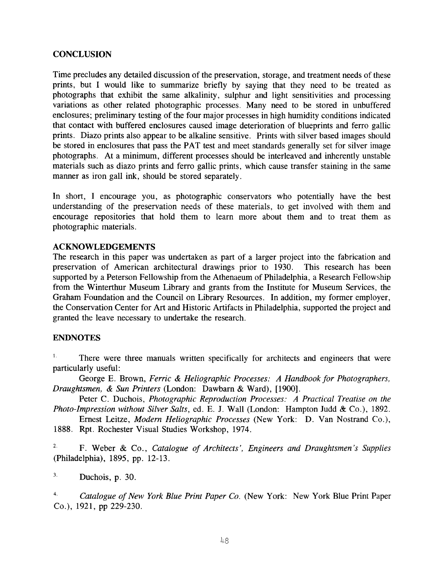### **CONCLUSION**

Time precludes any detailed discussion of the preservation, storage, and treatment needs of these prints, but **I** would like to summarize briefly by saying that they need to be treated as photographs that exhibit the same alkalinity, sulphur and light sensitivities and processing variations as other related photographic processes. Many need to be stored in unbuffered enclosures; preliminary testing of the four major processes in high humidity conditions indicated that contact with buffered enclosures caused image deterioration of blueprints and ferro gallic prints. Diazo prints also appear to be alkaline sensitive. Prints with silver based images should be stored in enclosures that pass the PAT test and meet standards generally set for silver image photographs. At a minimum, different processes should be interleaved and inherently unstable materials such as diazo prints and ferro gallic prints, which cause transfer staining in the same manner as iron gall ink, should be stored separately.

In short, I encourage you, as photographic conservators who potentially have the best understanding of the preservation needs of these materials, to get involved with them and encourage repositories that hold them to learn more about them and to treat them as photographic materials.

#### **ACKNOWLEDGEMENTS**

The research in this paper was undertaken as part of a larger project into the fabrication and preservation of American architectural drawings prior to 1930. This research has been supported by a Peterson Fellowship from the Athenaeum of Philadelphia, a Research Fellowship from the Winterthur Museum Library and grants from the Institute for Museum Services, the Graham Foundation and the Council on Library Resources. In addition, my former employer, the Conservation Center for Art and Historic Artifacts in Philadelphia, supported the project and granted the leave necessary to undertake the research.

### **ENDNOTES**

There were three manuals written specifically for architects and engineers that were particularly useful: I.

George E. Brown, *Ferric* & *Heliographic Processes: A Handbook for Photographers, Draughtsmen,* & *Sun Printers* (London: Dawbarn & Ward), [1900].

Peter C. Duchois, *Photographic Reproduction Processes: A Practical Treatise on the Photo-Impression without Silver Salts,* ed. E. J. Wall (London: Hampton Judd & Co.), 1892.

Ernest Leitze, *Modern Heliographic Processes* (New York: D. Van Nostrand Co.), 1888. Rpt. Rochester Visual Studies Workshop, 1974.

**2.**  (Philadelphia), 1895, pp. 12-13. F. Weber & Co., *Catalogue of Architects* ', *Engineers and Draughtsmen* 's *Supplies* 

Duchois, p. 30. **3.** 

*Catalogue of New York Blue Print Paper Co.* (New York: New York Blue Print Paper **4.**  CO.), 1921, pp 229-230.